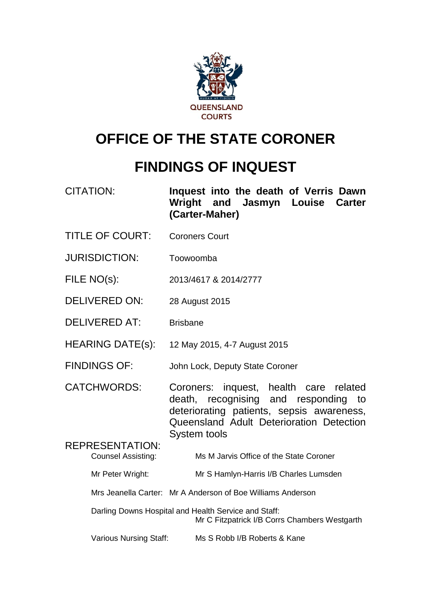

# **OFFICE OF THE STATE CORONER**

# **FINDINGS OF INQUEST**

CITATION: **Inquest into the death of Verris Dawn Wright and Jasmyn Louise Carter (Carter-Maher)** TITLE OF COURT: Coroners Court JURISDICTION: Toowoomba FILE NO(s): 2013/4617 & 2014/2777 DELIVERED ON: 28 August 2015 DELIVERED AT: Brisbane HEARING DATE(s): 12 May 2015, 4-7 August 2015

FINDINGS OF: John Lock, Deputy State Coroner

CATCHWORDS: Coroners: inquest, health care related death, recognising and responding to deteriorating patients, sepsis awareness, Queensland Adult Deterioration Detection System tools

REPRESENTATION: Counsel Assisting: Ms M Jarvis Office of the State Coroner Mr Peter Wright: Mr S Hamlyn-Harris I/B Charles Lumsden Mrs Jeanella Carter: Mr A Anderson of Boe Williams Anderson

Darling Downs Hospital and Health Service and Staff: Mr C Fitzpatrick I/B Corrs Chambers Westgarth

Various Nursing Staff: Ms S Robb I/B Roberts & Kane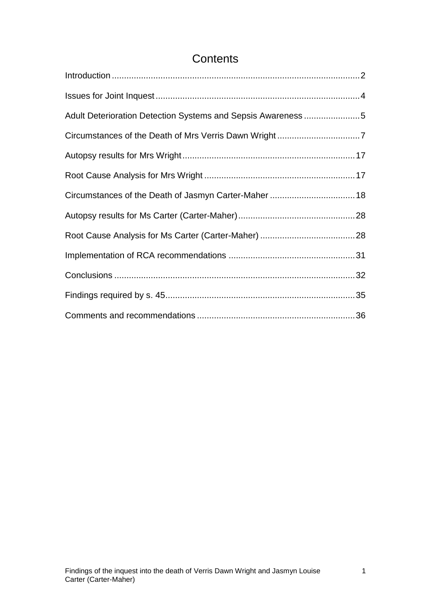# **Contents**

| Adult Deterioration Detection Systems and Sepsis Awareness 5 |  |
|--------------------------------------------------------------|--|
|                                                              |  |
|                                                              |  |
|                                                              |  |
|                                                              |  |
|                                                              |  |
|                                                              |  |
|                                                              |  |
|                                                              |  |
|                                                              |  |
|                                                              |  |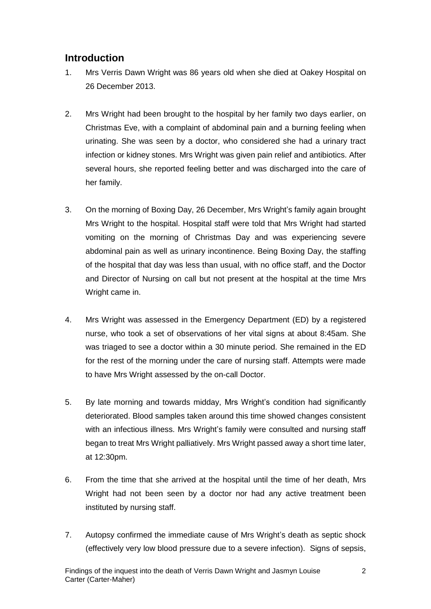# <span id="page-2-0"></span>**Introduction**

- 1. Mrs Verris Dawn Wright was 86 years old when she died at Oakey Hospital on 26 December 2013.
- 2. Mrs Wright had been brought to the hospital by her family two days earlier, on Christmas Eve, with a complaint of abdominal pain and a burning feeling when urinating. She was seen by a doctor, who considered she had a urinary tract infection or kidney stones. Mrs Wright was given pain relief and antibiotics. After several hours, she reported feeling better and was discharged into the care of her family.
- 3. On the morning of Boxing Day, 26 December, Mrs Wright's family again brought Mrs Wright to the hospital. Hospital staff were told that Mrs Wright had started vomiting on the morning of Christmas Day and was experiencing severe abdominal pain as well as urinary incontinence. Being Boxing Day, the staffing of the hospital that day was less than usual, with no office staff, and the Doctor and Director of Nursing on call but not present at the hospital at the time Mrs Wright came in.
- 4. Mrs Wright was assessed in the Emergency Department (ED) by a registered nurse, who took a set of observations of her vital signs at about 8:45am. She was triaged to see a doctor within a 30 minute period. She remained in the ED for the rest of the morning under the care of nursing staff. Attempts were made to have Mrs Wright assessed by the on-call Doctor.
- 5. By late morning and towards midday, Mrs Wright's condition had significantly deteriorated. Blood samples taken around this time showed changes consistent with an infectious illness. Mrs Wright's family were consulted and nursing staff began to treat Mrs Wright palliatively. Mrs Wright passed away a short time later, at 12:30pm.
- 6. From the time that she arrived at the hospital until the time of her death, Mrs Wright had not been seen by a doctor nor had any active treatment been instituted by nursing staff.
- 7. Autopsy confirmed the immediate cause of Mrs Wright's death as septic shock (effectively very low blood pressure due to a severe infection). Signs of sepsis,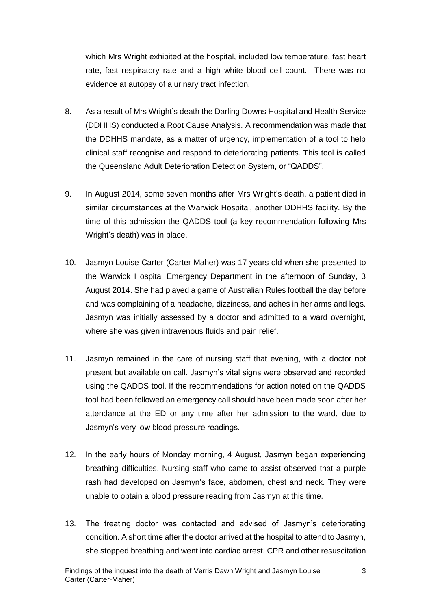which Mrs Wright exhibited at the hospital, included low temperature, fast heart rate, fast respiratory rate and a high white blood cell count. There was no evidence at autopsy of a urinary tract infection.

- 8. As a result of Mrs Wright's death the Darling Downs Hospital and Health Service (DDHHS) conducted a Root Cause Analysis. A recommendation was made that the DDHHS mandate, as a matter of urgency, implementation of a tool to help clinical staff recognise and respond to deteriorating patients. This tool is called the Queensland Adult Deterioration Detection System, or "QADDS".
- 9. In August 2014, some seven months after Mrs Wright's death, a patient died in similar circumstances at the Warwick Hospital, another DDHHS facility. By the time of this admission the QADDS tool (a key recommendation following Mrs Wright's death) was in place.
- 10. Jasmyn Louise Carter (Carter-Maher) was 17 years old when she presented to the Warwick Hospital Emergency Department in the afternoon of Sunday, 3 August 2014. She had played a game of Australian Rules football the day before and was complaining of a headache, dizziness, and aches in her arms and legs. Jasmyn was initially assessed by a doctor and admitted to a ward overnight, where she was given intravenous fluids and pain relief.
- 11. Jasmyn remained in the care of nursing staff that evening, with a doctor not present but available on call. Jasmyn's vital signs were observed and recorded using the QADDS tool. If the recommendations for action noted on the QADDS tool had been followed an emergency call should have been made soon after her attendance at the ED or any time after her admission to the ward, due to Jasmyn's very low blood pressure readings.
- 12. In the early hours of Monday morning, 4 August, Jasmyn began experiencing breathing difficulties. Nursing staff who came to assist observed that a purple rash had developed on Jasmyn's face, abdomen, chest and neck. They were unable to obtain a blood pressure reading from Jasmyn at this time.
- 13. The treating doctor was contacted and advised of Jasmyn's deteriorating condition. A short time after the doctor arrived at the hospital to attend to Jasmyn, she stopped breathing and went into cardiac arrest. CPR and other resuscitation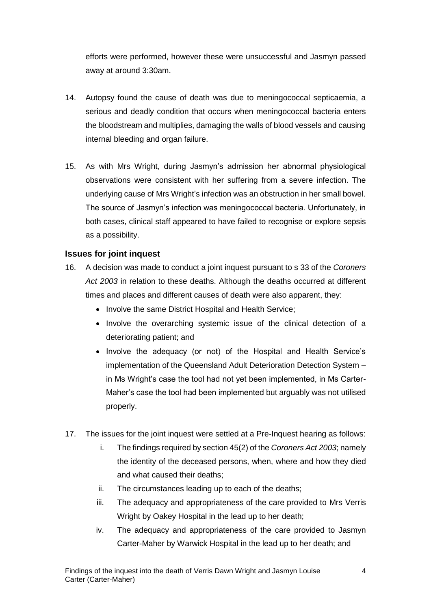efforts were performed, however these were unsuccessful and Jasmyn passed away at around 3:30am.

- 14. Autopsy found the cause of death was due to meningococcal septicaemia, a serious and deadly condition that occurs when meningococcal bacteria enters the bloodstream and multiplies, damaging the walls of blood vessels and causing internal bleeding and organ failure.
- 15. As with Mrs Wright, during Jasmyn's admission her abnormal physiological observations were consistent with her suffering from a severe infection. The underlying cause of Mrs Wright's infection was an obstruction in her small bowel. The source of Jasmyn's infection was meningococcal bacteria. Unfortunately, in both cases, clinical staff appeared to have failed to recognise or explore sepsis as a possibility.

### <span id="page-4-0"></span>**Issues for joint inquest**

- 16. A decision was made to conduct a joint inquest pursuant to s 33 of the *Coroners Act 2003* in relation to these deaths. Although the deaths occurred at different times and places and different causes of death were also apparent, they:
	- Involve the same District Hospital and Health Service;
	- Involve the overarching systemic issue of the clinical detection of a deteriorating patient; and
	- Involve the adequacy (or not) of the Hospital and Health Service's implementation of the Queensland Adult Deterioration Detection System – in Ms Wright's case the tool had not yet been implemented, in Ms Carter-Maher's case the tool had been implemented but arguably was not utilised properly.
- 17. The issues for the joint inquest were settled at a Pre-Inquest hearing as follows:
	- i. The findings required by section 45(2) of the *Coroners Act 2003*; namely the identity of the deceased persons, when, where and how they died and what caused their deaths;
	- ii. The circumstances leading up to each of the deaths;
	- iii. The adequacy and appropriateness of the care provided to Mrs Verris Wright by Oakey Hospital in the lead up to her death;
	- iv. The adequacy and appropriateness of the care provided to Jasmyn Carter-Maher by Warwick Hospital in the lead up to her death; and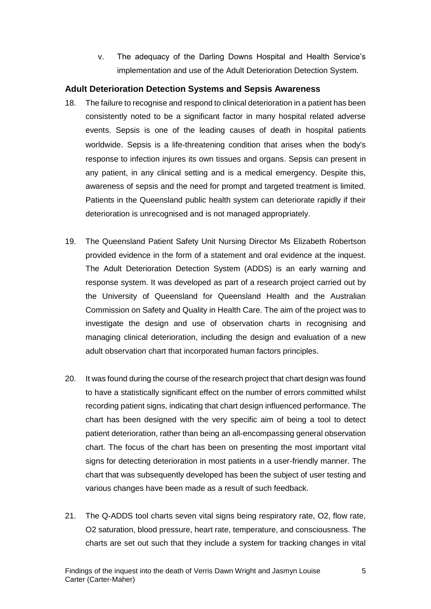v. The adequacy of the Darling Downs Hospital and Health Service's implementation and use of the Adult Deterioration Detection System.

#### <span id="page-5-0"></span>**Adult Deterioration Detection Systems and Sepsis Awareness**

- 18. The failure to recognise and respond to clinical deterioration in a patient has been consistently noted to be a significant factor in many hospital related adverse events. Sepsis is one of the leading causes of death in hospital patients worldwide. Sepsis is a life-threatening condition that arises when the body's response to infection injures its own tissues and organs. Sepsis can present in any patient, in any clinical setting and is a medical emergency. Despite this, awareness of sepsis and the need for prompt and targeted treatment is limited. Patients in the Queensland public health system can deteriorate rapidly if their deterioration is unrecognised and is not managed appropriately.
- 19. The Queensland Patient Safety Unit Nursing Director Ms Elizabeth Robertson provided evidence in the form of a statement and oral evidence at the inquest. The Adult Deterioration Detection System (ADDS) is an early warning and response system. It was developed as part of a research project carried out by the University of Queensland for Queensland Health and the Australian Commission on Safety and Quality in Health Care. The aim of the project was to investigate the design and use of observation charts in recognising and managing clinical deterioration, including the design and evaluation of a new adult observation chart that incorporated human factors principles.
- 20. It was found during the course of the research project that chart design was found to have a statistically significant effect on the number of errors committed whilst recording patient signs, indicating that chart design influenced performance. The chart has been designed with the very specific aim of being a tool to detect patient deterioration, rather than being an all-encompassing general observation chart. The focus of the chart has been on presenting the most important vital signs for detecting deterioration in most patients in a user-friendly manner. The chart that was subsequently developed has been the subject of user testing and various changes have been made as a result of such feedback.
- 21. The Q-ADDS tool charts seven vital signs being respiratory rate, O2, flow rate, O2 saturation, blood pressure, heart rate, temperature, and consciousness. The charts are set out such that they include a system for tracking changes in vital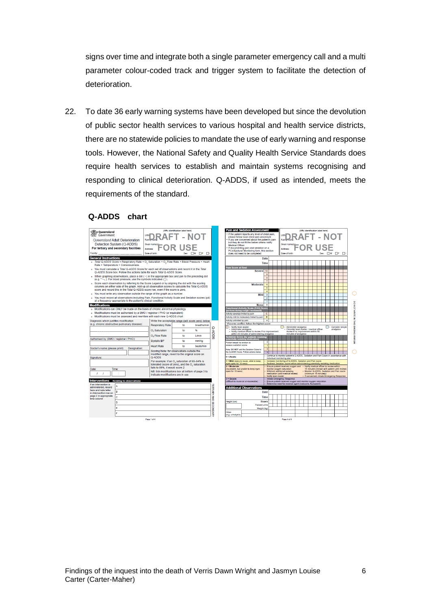signs over time and integrate both a single parameter emergency call and a multi parameter colour-coded track and trigger system to facilitate the detection of deterioration.

22. To date 36 early warning systems have been developed but since the devolution of public sector health services to various hospital and health service districts, there are no statewide policies to mandate the use of early warning and response tools. However, the National Safety and Quality Health Service Standards does require health services to establish and maintain systems recognising and responding to clinical deterioration. Q-ADDS, if used as intended, meets the requirements of the standard.

#### **Q-ADDS chart**

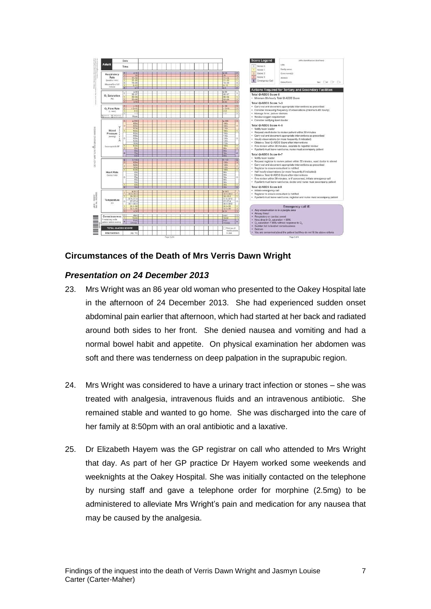

#### <span id="page-7-0"></span>**Circumstances of the Death of Mrs Verris Dawn Wright**

#### *Presentation on 24 December 2013*

- 23. Mrs Wright was an 86 year old woman who presented to the Oakey Hospital late in the afternoon of 24 December 2013. She had experienced sudden onset abdominal pain earlier that afternoon, which had started at her back and radiated around both sides to her front. She denied nausea and vomiting and had a normal bowel habit and appetite. On physical examination her abdomen was soft and there was tenderness on deep palpation in the suprapubic region.
- 24. Mrs Wright was considered to have a urinary tract infection or stones she was treated with analgesia, intravenous fluids and an intravenous antibiotic. She remained stable and wanted to go home. She was discharged into the care of her family at 8:50pm with an oral antibiotic and a laxative.
- 25. Dr Elizabeth Hayem was the GP registrar on call who attended to Mrs Wright that day. As part of her GP practice Dr Hayem worked some weekends and weeknights at the Oakey Hospital. She was initially contacted on the telephone by nursing staff and gave a telephone order for morphine (2.5mg) to be administered to alleviate Mrs Wright's pain and medication for any nausea that may be caused by the analgesia.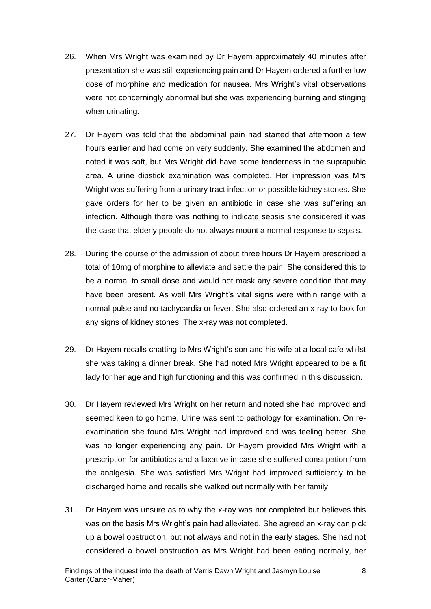- 26. When Mrs Wright was examined by Dr Hayem approximately 40 minutes after presentation she was still experiencing pain and Dr Hayem ordered a further low dose of morphine and medication for nausea. Mrs Wright's vital observations were not concerningly abnormal but she was experiencing burning and stinging when urinating.
- 27. Dr Hayem was told that the abdominal pain had started that afternoon a few hours earlier and had come on very suddenly. She examined the abdomen and noted it was soft, but Mrs Wright did have some tenderness in the suprapubic area. A urine dipstick examination was completed. Her impression was Mrs Wright was suffering from a urinary tract infection or possible kidney stones. She gave orders for her to be given an antibiotic in case she was suffering an infection. Although there was nothing to indicate sepsis she considered it was the case that elderly people do not always mount a normal response to sepsis.
- 28. During the course of the admission of about three hours Dr Hayem prescribed a total of 10mg of morphine to alleviate and settle the pain. She considered this to be a normal to small dose and would not mask any severe condition that may have been present. As well Mrs Wright's vital signs were within range with a normal pulse and no tachycardia or fever. She also ordered an x-ray to look for any signs of kidney stones. The x-ray was not completed.
- 29. Dr Hayem recalls chatting to Mrs Wright's son and his wife at a local cafe whilst she was taking a dinner break. She had noted Mrs Wright appeared to be a fit lady for her age and high functioning and this was confirmed in this discussion.
- 30. Dr Hayem reviewed Mrs Wright on her return and noted she had improved and seemed keen to go home. Urine was sent to pathology for examination. On reexamination she found Mrs Wright had improved and was feeling better. She was no longer experiencing any pain. Dr Hayem provided Mrs Wright with a prescription for antibiotics and a laxative in case she suffered constipation from the analgesia. She was satisfied Mrs Wright had improved sufficiently to be discharged home and recalls she walked out normally with her family.
- 31. Dr Hayem was unsure as to why the x-ray was not completed but believes this was on the basis Mrs Wright's pain had alleviated. She agreed an x-ray can pick up a bowel obstruction, but not always and not in the early stages. She had not considered a bowel obstruction as Mrs Wright had been eating normally, her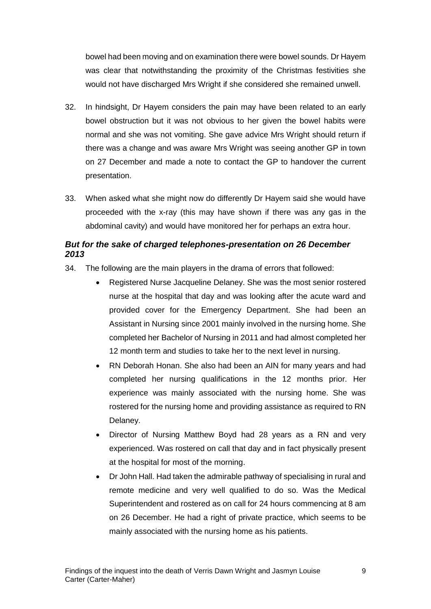bowel had been moving and on examination there were bowel sounds. Dr Hayem was clear that notwithstanding the proximity of the Christmas festivities she would not have discharged Mrs Wright if she considered she remained unwell.

- 32. In hindsight, Dr Hayem considers the pain may have been related to an early bowel obstruction but it was not obvious to her given the bowel habits were normal and she was not vomiting. She gave advice Mrs Wright should return if there was a change and was aware Mrs Wright was seeing another GP in town on 27 December and made a note to contact the GP to handover the current presentation.
- 33. When asked what she might now do differently Dr Hayem said she would have proceeded with the x-ray (this may have shown if there was any gas in the abdominal cavity) and would have monitored her for perhaps an extra hour.

# *But for the sake of charged telephones-presentation on 26 December 2013*

- 34. The following are the main players in the drama of errors that followed:
	- Registered Nurse Jacqueline Delaney. She was the most senior rostered nurse at the hospital that day and was looking after the acute ward and provided cover for the Emergency Department. She had been an Assistant in Nursing since 2001 mainly involved in the nursing home. She completed her Bachelor of Nursing in 2011 and had almost completed her 12 month term and studies to take her to the next level in nursing.
	- RN Deborah Honan. She also had been an AIN for many years and had completed her nursing qualifications in the 12 months prior. Her experience was mainly associated with the nursing home. She was rostered for the nursing home and providing assistance as required to RN Delaney.
	- Director of Nursing Matthew Boyd had 28 years as a RN and very experienced. Was rostered on call that day and in fact physically present at the hospital for most of the morning.
	- Dr John Hall. Had taken the admirable pathway of specialising in rural and remote medicine and very well qualified to do so. Was the Medical Superintendent and rostered as on call for 24 hours commencing at 8 am on 26 December. He had a right of private practice, which seems to be mainly associated with the nursing home as his patients.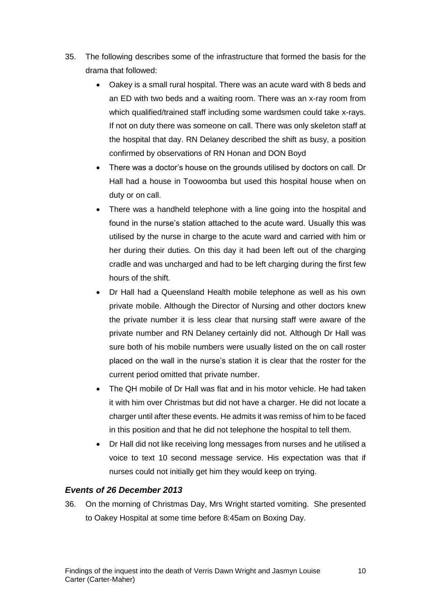- 35. The following describes some of the infrastructure that formed the basis for the drama that followed:
	- Oakey is a small rural hospital. There was an acute ward with 8 beds and an ED with two beds and a waiting room. There was an x-ray room from which qualified/trained staff including some wardsmen could take x-rays. If not on duty there was someone on call. There was only skeleton staff at the hospital that day. RN Delaney described the shift as busy, a position confirmed by observations of RN Honan and DON Boyd
	- There was a doctor's house on the grounds utilised by doctors on call. Dr Hall had a house in Toowoomba but used this hospital house when on duty or on call.
	- There was a handheld telephone with a line going into the hospital and found in the nurse's station attached to the acute ward. Usually this was utilised by the nurse in charge to the acute ward and carried with him or her during their duties. On this day it had been left out of the charging cradle and was uncharged and had to be left charging during the first few hours of the shift.
	- Dr Hall had a Queensland Health mobile telephone as well as his own private mobile. Although the Director of Nursing and other doctors knew the private number it is less clear that nursing staff were aware of the private number and RN Delaney certainly did not. Although Dr Hall was sure both of his mobile numbers were usually listed on the on call roster placed on the wall in the nurse's station it is clear that the roster for the current period omitted that private number.
	- The QH mobile of Dr Hall was flat and in his motor vehicle. He had taken it with him over Christmas but did not have a charger. He did not locate a charger until after these events. He admits it was remiss of him to be faced in this position and that he did not telephone the hospital to tell them.
	- Dr Hall did not like receiving long messages from nurses and he utilised a voice to text 10 second message service. His expectation was that if nurses could not initially get him they would keep on trying.

#### *Events of 26 December 2013*

36. On the morning of Christmas Day, Mrs Wright started vomiting. She presented to Oakey Hospital at some time before 8:45am on Boxing Day.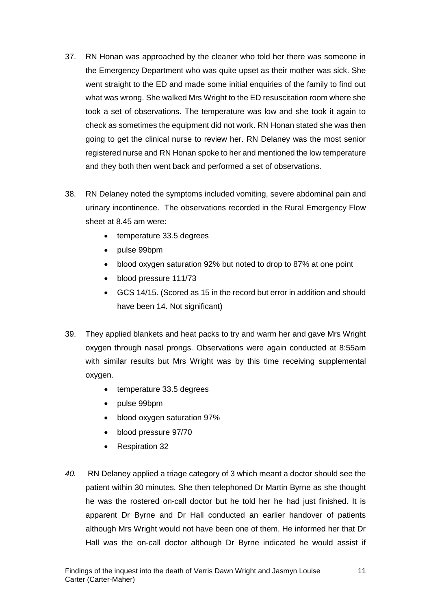- 37. RN Honan was approached by the cleaner who told her there was someone in the Emergency Department who was quite upset as their mother was sick. She went straight to the ED and made some initial enquiries of the family to find out what was wrong. She walked Mrs Wright to the ED resuscitation room where she took a set of observations. The temperature was low and she took it again to check as sometimes the equipment did not work. RN Honan stated she was then going to get the clinical nurse to review her. RN Delaney was the most senior registered nurse and RN Honan spoke to her and mentioned the low temperature and they both then went back and performed a set of observations.
- 38. RN Delaney noted the symptoms included vomiting, severe abdominal pain and urinary incontinence. The observations recorded in the Rural Emergency Flow sheet at 8.45 am were:
	- temperature 33.5 degrees
	- pulse 99bpm
	- blood oxygen saturation 92% but noted to drop to 87% at one point
	- blood pressure 111/73
	- GCS 14/15. (Scored as 15 in the record but error in addition and should have been 14. Not significant)
- 39. They applied blankets and heat packs to try and warm her and gave Mrs Wright oxygen through nasal prongs. Observations were again conducted at 8:55am with similar results but Mrs Wright was by this time receiving supplemental oxygen.
	- temperature 33.5 degrees
	- pulse 99bpm
	- blood oxygen saturation 97%
	- blood pressure 97/70
	- Respiration 32
- *40.* RN Delaney applied a triage category of 3 which meant a doctor should see the patient within 30 minutes. She then telephoned Dr Martin Byrne as she thought he was the rostered on-call doctor but he told her he had just finished. It is apparent Dr Byrne and Dr Hall conducted an earlier handover of patients although Mrs Wright would not have been one of them. He informed her that Dr Hall was the on-call doctor although Dr Byrne indicated he would assist if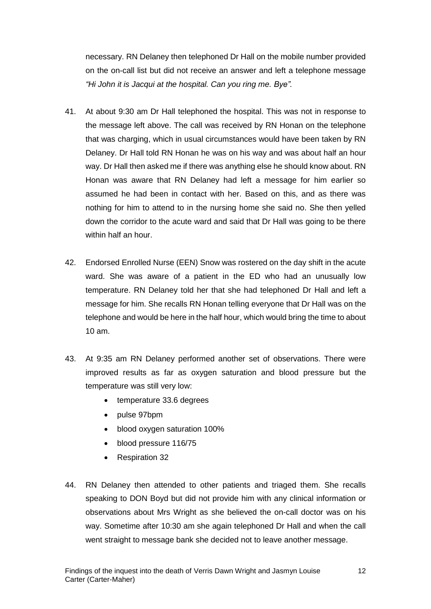necessary. RN Delaney then telephoned Dr Hall on the mobile number provided on the on-call list but did not receive an answer and left a telephone message *"Hi John it is Jacqui at the hospital. Can you ring me. Bye".*

- 41. At about 9:30 am Dr Hall telephoned the hospital. This was not in response to the message left above. The call was received by RN Honan on the telephone that was charging, which in usual circumstances would have been taken by RN Delaney. Dr Hall told RN Honan he was on his way and was about half an hour way. Dr Hall then asked me if there was anything else he should know about. RN Honan was aware that RN Delaney had left a message for him earlier so assumed he had been in contact with her. Based on this, and as there was nothing for him to attend to in the nursing home she said no. She then yelled down the corridor to the acute ward and said that Dr Hall was going to be there within half an hour.
- 42. Endorsed Enrolled Nurse (EEN) Snow was rostered on the day shift in the acute ward. She was aware of a patient in the ED who had an unusually low temperature. RN Delaney told her that she had telephoned Dr Hall and left a message for him. She recalls RN Honan telling everyone that Dr Hall was on the telephone and would be here in the half hour, which would bring the time to about 10 am.
- 43. At 9:35 am RN Delaney performed another set of observations. There were improved results as far as oxygen saturation and blood pressure but the temperature was still very low:
	- temperature 33.6 degrees
	- pulse 97bpm
	- blood oxygen saturation 100%
	- blood pressure 116/75
	- Respiration 32
- 44. RN Delaney then attended to other patients and triaged them. She recalls speaking to DON Boyd but did not provide him with any clinical information or observations about Mrs Wright as she believed the on-call doctor was on his way. Sometime after 10:30 am she again telephoned Dr Hall and when the call went straight to message bank she decided not to leave another message.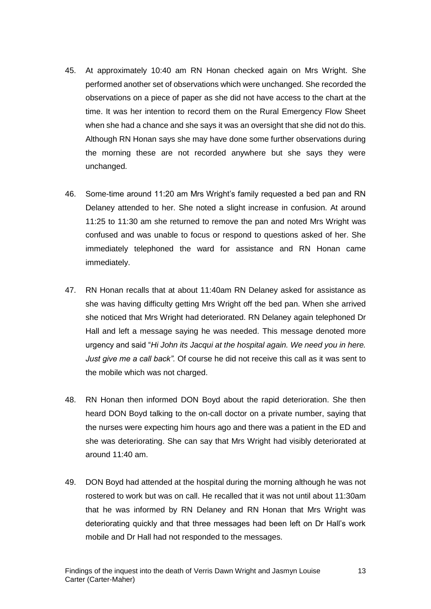- 45. At approximately 10:40 am RN Honan checked again on Mrs Wright. She performed another set of observations which were unchanged. She recorded the observations on a piece of paper as she did not have access to the chart at the time. It was her intention to record them on the Rural Emergency Flow Sheet when she had a chance and she says it was an oversight that she did not do this. Although RN Honan says she may have done some further observations during the morning these are not recorded anywhere but she says they were unchanged.
- 46. Some-time around 11:20 am Mrs Wright's family requested a bed pan and RN Delaney attended to her. She noted a slight increase in confusion. At around 11:25 to 11:30 am she returned to remove the pan and noted Mrs Wright was confused and was unable to focus or respond to questions asked of her. She immediately telephoned the ward for assistance and RN Honan came immediately.
- 47. RN Honan recalls that at about 11:40am RN Delaney asked for assistance as she was having difficulty getting Mrs Wright off the bed pan. When she arrived she noticed that Mrs Wright had deteriorated. RN Delaney again telephoned Dr Hall and left a message saying he was needed. This message denoted more urgency and said "*Hi John its Jacqui at the hospital again. We need you in here. Just give me a call back".* Of course he did not receive this call as it was sent to the mobile which was not charged.
- 48. RN Honan then informed DON Boyd about the rapid deterioration. She then heard DON Boyd talking to the on-call doctor on a private number, saying that the nurses were expecting him hours ago and there was a patient in the ED and she was deteriorating. She can say that Mrs Wright had visibly deteriorated at around 11:40 am.
- 49. DON Boyd had attended at the hospital during the morning although he was not rostered to work but was on call. He recalled that it was not until about 11:30am that he was informed by RN Delaney and RN Honan that Mrs Wright was deteriorating quickly and that three messages had been left on Dr Hall's work mobile and Dr Hall had not responded to the messages.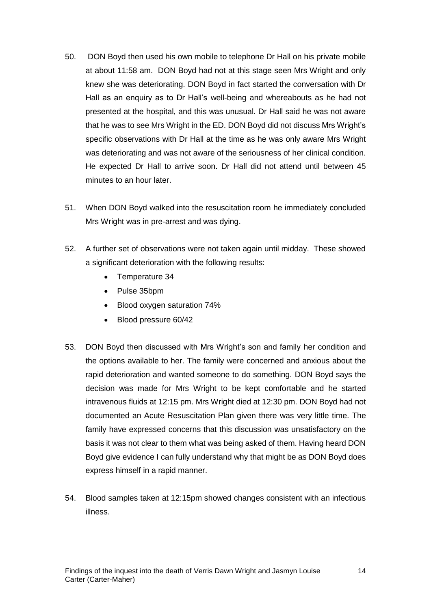- 50. DON Boyd then used his own mobile to telephone Dr Hall on his private mobile at about 11:58 am. DON Boyd had not at this stage seen Mrs Wright and only knew she was deteriorating. DON Boyd in fact started the conversation with Dr Hall as an enquiry as to Dr Hall's well-being and whereabouts as he had not presented at the hospital, and this was unusual. Dr Hall said he was not aware that he was to see Mrs Wright in the ED. DON Boyd did not discuss Mrs Wright's specific observations with Dr Hall at the time as he was only aware Mrs Wright was deteriorating and was not aware of the seriousness of her clinical condition. He expected Dr Hall to arrive soon. Dr Hall did not attend until between 45 minutes to an hour later.
- 51. When DON Boyd walked into the resuscitation room he immediately concluded Mrs Wright was in pre-arrest and was dying.
- 52. A further set of observations were not taken again until midday. These showed a significant deterioration with the following results:
	- Temperature 34
	- Pulse 35bpm
	- Blood oxygen saturation 74%
	- Blood pressure 60/42
- 53. DON Boyd then discussed with Mrs Wright's son and family her condition and the options available to her. The family were concerned and anxious about the rapid deterioration and wanted someone to do something. DON Boyd says the decision was made for Mrs Wright to be kept comfortable and he started intravenous fluids at 12:15 pm. Mrs Wright died at 12:30 pm. DON Boyd had not documented an Acute Resuscitation Plan given there was very little time. The family have expressed concerns that this discussion was unsatisfactory on the basis it was not clear to them what was being asked of them. Having heard DON Boyd give evidence I can fully understand why that might be as DON Boyd does express himself in a rapid manner.
- 54. Blood samples taken at 12:15pm showed changes consistent with an infectious illness.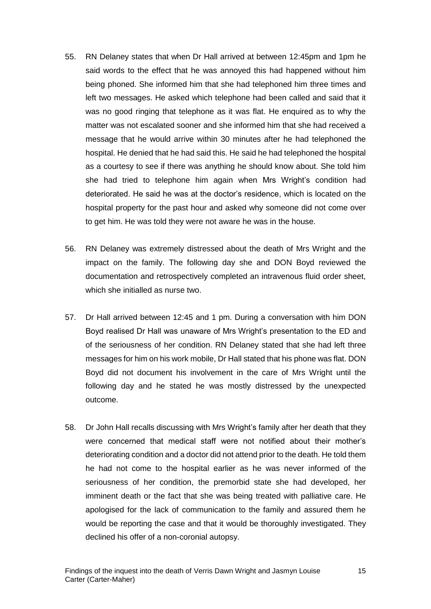- 55. RN Delaney states that when Dr Hall arrived at between 12:45pm and 1pm he said words to the effect that he was annoyed this had happened without him being phoned. She informed him that she had telephoned him three times and left two messages. He asked which telephone had been called and said that it was no good ringing that telephone as it was flat. He enquired as to why the matter was not escalated sooner and she informed him that she had received a message that he would arrive within 30 minutes after he had telephoned the hospital. He denied that he had said this. He said he had telephoned the hospital as a courtesy to see if there was anything he should know about. She told him she had tried to telephone him again when Mrs Wright's condition had deteriorated. He said he was at the doctor's residence, which is located on the hospital property for the past hour and asked why someone did not come over to get him. He was told they were not aware he was in the house.
- 56. RN Delaney was extremely distressed about the death of Mrs Wright and the impact on the family. The following day she and DON Boyd reviewed the documentation and retrospectively completed an intravenous fluid order sheet, which she initialled as nurse two.
- 57. Dr Hall arrived between 12:45 and 1 pm. During a conversation with him DON Boyd realised Dr Hall was unaware of Mrs Wright's presentation to the ED and of the seriousness of her condition. RN Delaney stated that she had left three messages for him on his work mobile, Dr Hall stated that his phone was flat. DON Boyd did not document his involvement in the care of Mrs Wright until the following day and he stated he was mostly distressed by the unexpected outcome.
- 58. Dr John Hall recalls discussing with Mrs Wright's family after her death that they were concerned that medical staff were not notified about their mother's deteriorating condition and a doctor did not attend prior to the death. He told them he had not come to the hospital earlier as he was never informed of the seriousness of her condition, the premorbid state she had developed, her imminent death or the fact that she was being treated with palliative care. He apologised for the lack of communication to the family and assured them he would be reporting the case and that it would be thoroughly investigated. They declined his offer of a non-coronial autopsy.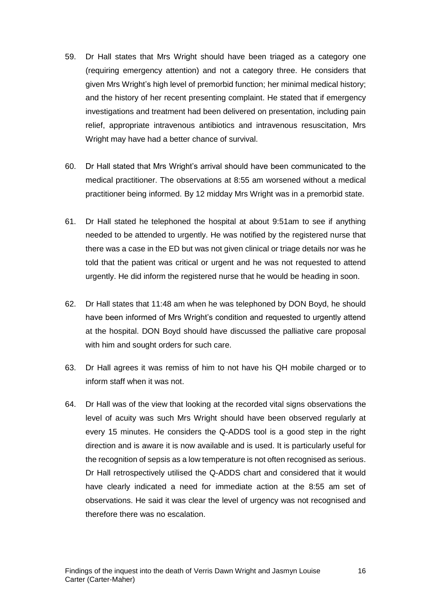- 59. Dr Hall states that Mrs Wright should have been triaged as a category one (requiring emergency attention) and not a category three. He considers that given Mrs Wright's high level of premorbid function; her minimal medical history; and the history of her recent presenting complaint. He stated that if emergency investigations and treatment had been delivered on presentation, including pain relief, appropriate intravenous antibiotics and intravenous resuscitation, Mrs Wright may have had a better chance of survival.
- 60. Dr Hall stated that Mrs Wright's arrival should have been communicated to the medical practitioner. The observations at 8:55 am worsened without a medical practitioner being informed. By 12 midday Mrs Wright was in a premorbid state.
- 61. Dr Hall stated he telephoned the hospital at about 9:51am to see if anything needed to be attended to urgently. He was notified by the registered nurse that there was a case in the ED but was not given clinical or triage details nor was he told that the patient was critical or urgent and he was not requested to attend urgently. He did inform the registered nurse that he would be heading in soon.
- 62. Dr Hall states that 11:48 am when he was telephoned by DON Boyd, he should have been informed of Mrs Wright's condition and requested to urgently attend at the hospital. DON Boyd should have discussed the palliative care proposal with him and sought orders for such care.
- 63. Dr Hall agrees it was remiss of him to not have his QH mobile charged or to inform staff when it was not.
- 64. Dr Hall was of the view that looking at the recorded vital signs observations the level of acuity was such Mrs Wright should have been observed regularly at every 15 minutes. He considers the Q-ADDS tool is a good step in the right direction and is aware it is now available and is used. It is particularly useful for the recognition of sepsis as a low temperature is not often recognised as serious. Dr Hall retrospectively utilised the Q-ADDS chart and considered that it would have clearly indicated a need for immediate action at the 8:55 am set of observations. He said it was clear the level of urgency was not recognised and therefore there was no escalation.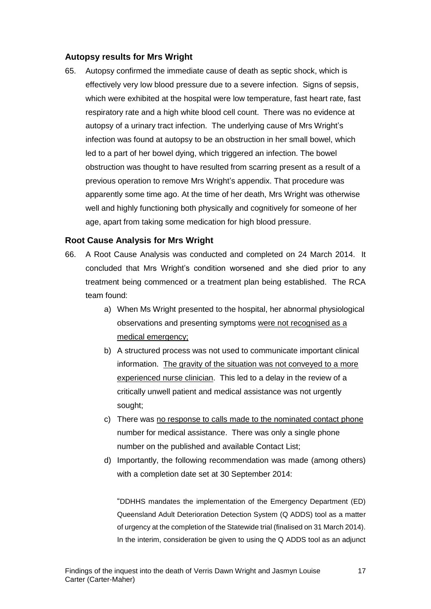#### <span id="page-17-0"></span>**Autopsy results for Mrs Wright**

65. Autopsy confirmed the immediate cause of death as septic shock, which is effectively very low blood pressure due to a severe infection. Signs of sepsis, which were exhibited at the hospital were low temperature, fast heart rate, fast respiratory rate and a high white blood cell count. There was no evidence at autopsy of a urinary tract infection. The underlying cause of Mrs Wright's infection was found at autopsy to be an obstruction in her small bowel, which led to a part of her bowel dying, which triggered an infection. The bowel obstruction was thought to have resulted from scarring present as a result of a previous operation to remove Mrs Wright's appendix. That procedure was apparently some time ago. At the time of her death, Mrs Wright was otherwise well and highly functioning both physically and cognitively for someone of her age, apart from taking some medication for high blood pressure.

#### <span id="page-17-1"></span>**Root Cause Analysis for Mrs Wright**

- 66. A Root Cause Analysis was conducted and completed on 24 March 2014. It concluded that Mrs Wright's condition worsened and she died prior to any treatment being commenced or a treatment plan being established. The RCA team found:
	- a) When Ms Wright presented to the hospital, her abnormal physiological observations and presenting symptoms were not recognised as a medical emergency;
	- b) A structured process was not used to communicate important clinical information. The gravity of the situation was not conveyed to a more experienced nurse clinician. This led to a delay in the review of a critically unwell patient and medical assistance was not urgently sought;
	- c) There was no response to calls made to the nominated contact phone number for medical assistance. There was only a single phone number on the published and available Contact List;
	- d) Importantly, the following recommendation was made (among others) with a completion date set at 30 September 2014:

"DDHHS mandates the implementation of the Emergency Department (ED) Queensland Adult Deterioration Detection System (Q ADDS) tool as a matter of urgency at the completion of the Statewide trial (finalised on 31 March 2014). In the interim, consideration be given to using the Q ADDS tool as an adjunct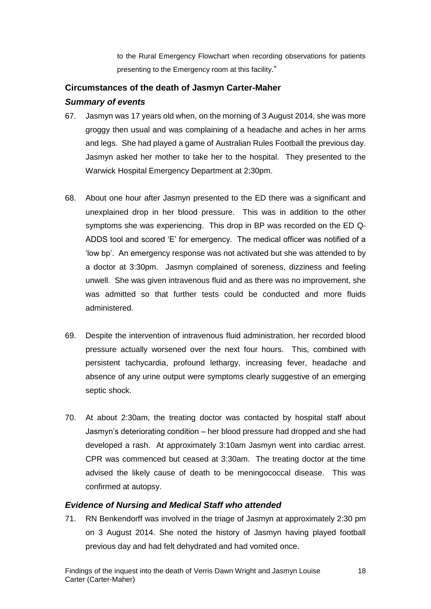to the Rural Emergency Flowchart when recording observations for patients presenting to the Emergency room at this facility."

# <span id="page-18-0"></span>**Circumstances of the death of Jasmyn Carter-Maher**

### *Summary of events*

- 67. Jasmyn was 17 years old when, on the morning of 3 August 2014, she was more groggy then usual and was complaining of a headache and aches in her arms and legs. She had played a game of Australian Rules Football the previous day. Jasmyn asked her mother to take her to the hospital. They presented to the Warwick Hospital Emergency Department at 2:30pm.
- 68. About one hour after Jasmyn presented to the ED there was a significant and unexplained drop in her blood pressure. This was in addition to the other symptoms she was experiencing. This drop in BP was recorded on the ED Q-ADDS tool and scored 'E' for emergency. The medical officer was notified of a 'low bp'. An emergency response was not activated but she was attended to by a doctor at 3:30pm. Jasmyn complained of soreness, dizziness and feeling unwell. She was given intravenous fluid and as there was no improvement, she was admitted so that further tests could be conducted and more fluids administered.
- 69. Despite the intervention of intravenous fluid administration, her recorded blood pressure actually worsened over the next four hours. This, combined with persistent tachycardia, profound lethargy, increasing fever, headache and absence of any urine output were symptoms clearly suggestive of an emerging septic shock.
- 70. At about 2:30am, the treating doctor was contacted by hospital staff about Jasmyn's deteriorating condition – her blood pressure had dropped and she had developed a rash. At approximately 3:10am Jasmyn went into cardiac arrest. CPR was commenced but ceased at 3:30am. The treating doctor at the time advised the likely cause of death to be meningococcal disease. This was confirmed at autopsy.

## *Evidence of Nursing and Medical Staff who attended*

71. RN Benkendorff was involved in the triage of Jasmyn at approximately 2:30 pm on 3 August 2014. She noted the history of Jasmyn having played football previous day and had felt dehydrated and had vomited once.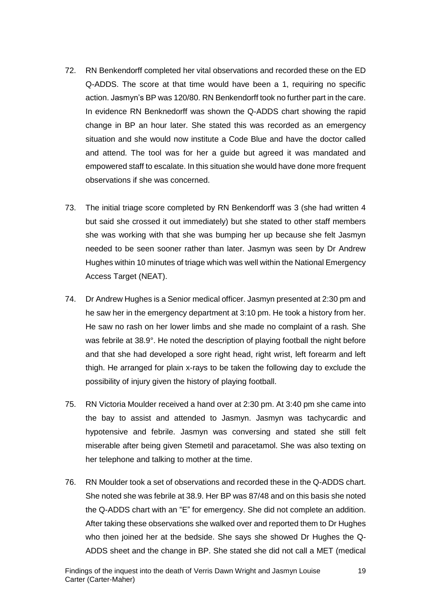- 72. RN Benkendorff completed her vital observations and recorded these on the ED Q-ADDS. The score at that time would have been a 1, requiring no specific action. Jasmyn's BP was 120/80. RN Benkendorff took no further part in the care. In evidence RN Benknedorff was shown the Q-ADDS chart showing the rapid change in BP an hour later. She stated this was recorded as an emergency situation and she would now institute a Code Blue and have the doctor called and attend. The tool was for her a guide but agreed it was mandated and empowered staff to escalate. In this situation she would have done more frequent observations if she was concerned.
- 73. The initial triage score completed by RN Benkendorff was 3 (she had written 4 but said she crossed it out immediately) but she stated to other staff members she was working with that she was bumping her up because she felt Jasmyn needed to be seen sooner rather than later. Jasmyn was seen by Dr Andrew Hughes within 10 minutes of triage which was well within the National Emergency Access Target (NEAT).
- 74. Dr Andrew Hughes is a Senior medical officer. Jasmyn presented at 2:30 pm and he saw her in the emergency department at 3:10 pm. He took a history from her. He saw no rash on her lower limbs and she made no complaint of a rash. She was febrile at 38.9°. He noted the description of playing football the night before and that she had developed a sore right head, right wrist, left forearm and left thigh. He arranged for plain x-rays to be taken the following day to exclude the possibility of injury given the history of playing football.
- 75. RN Victoria Moulder received a hand over at 2:30 pm. At 3:40 pm she came into the bay to assist and attended to Jasmyn. Jasmyn was tachycardic and hypotensive and febrile. Jasmyn was conversing and stated she still felt miserable after being given Stemetil and paracetamol. She was also texting on her telephone and talking to mother at the time.
- 76. RN Moulder took a set of observations and recorded these in the Q-ADDS chart. She noted she was febrile at 38.9. Her BP was 87/48 and on this basis she noted the Q-ADDS chart with an "E" for emergency. She did not complete an addition. After taking these observations she walked over and reported them to Dr Hughes who then joined her at the bedside. She says she showed Dr Hughes the Q-ADDS sheet and the change in BP. She stated she did not call a MET (medical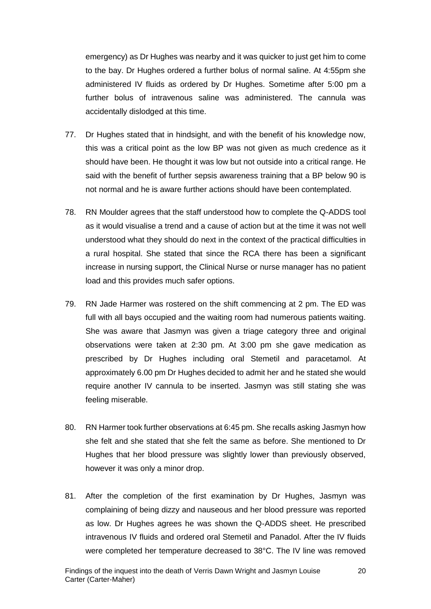emergency) as Dr Hughes was nearby and it was quicker to just get him to come to the bay. Dr Hughes ordered a further bolus of normal saline. At 4:55pm she administered IV fluids as ordered by Dr Hughes. Sometime after 5:00 pm a further bolus of intravenous saline was administered. The cannula was accidentally dislodged at this time.

- 77. Dr Hughes stated that in hindsight, and with the benefit of his knowledge now, this was a critical point as the low BP was not given as much credence as it should have been. He thought it was low but not outside into a critical range. He said with the benefit of further sepsis awareness training that a BP below 90 is not normal and he is aware further actions should have been contemplated.
- 78. RN Moulder agrees that the staff understood how to complete the Q-ADDS tool as it would visualise a trend and a cause of action but at the time it was not well understood what they should do next in the context of the practical difficulties in a rural hospital. She stated that since the RCA there has been a significant increase in nursing support, the Clinical Nurse or nurse manager has no patient load and this provides much safer options.
- 79. RN Jade Harmer was rostered on the shift commencing at 2 pm. The ED was full with all bays occupied and the waiting room had numerous patients waiting. She was aware that Jasmyn was given a triage category three and original observations were taken at 2:30 pm. At 3:00 pm she gave medication as prescribed by Dr Hughes including oral Stemetil and paracetamol. At approximately 6.00 pm Dr Hughes decided to admit her and he stated she would require another IV cannula to be inserted. Jasmyn was still stating she was feeling miserable.
- 80. RN Harmer took further observations at 6:45 pm. She recalls asking Jasmyn how she felt and she stated that she felt the same as before. She mentioned to Dr Hughes that her blood pressure was slightly lower than previously observed, however it was only a minor drop.
- 81. After the completion of the first examination by Dr Hughes, Jasmyn was complaining of being dizzy and nauseous and her blood pressure was reported as low. Dr Hughes agrees he was shown the Q-ADDS sheet. He prescribed intravenous IV fluids and ordered oral Stemetil and Panadol. After the IV fluids were completed her temperature decreased to 38°C. The IV line was removed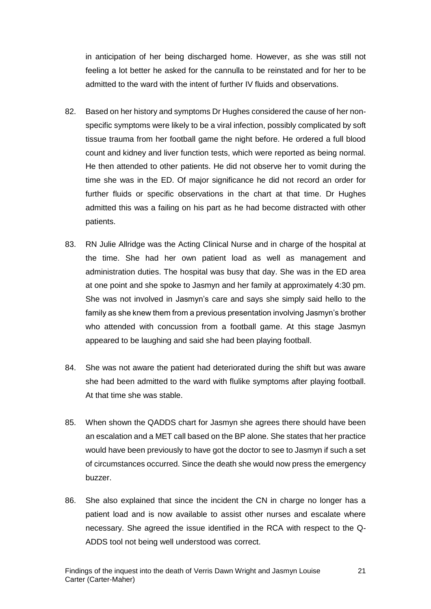in anticipation of her being discharged home. However, as she was still not feeling a lot better he asked for the cannulla to be reinstated and for her to be admitted to the ward with the intent of further IV fluids and observations.

- 82. Based on her history and symptoms Dr Hughes considered the cause of her nonspecific symptoms were likely to be a viral infection, possibly complicated by soft tissue trauma from her football game the night before. He ordered a full blood count and kidney and liver function tests, which were reported as being normal. He then attended to other patients. He did not observe her to vomit during the time she was in the ED. Of major significance he did not record an order for further fluids or specific observations in the chart at that time. Dr Hughes admitted this was a failing on his part as he had become distracted with other patients.
- 83. RN Julie Allridge was the Acting Clinical Nurse and in charge of the hospital at the time. She had her own patient load as well as management and administration duties. The hospital was busy that day. She was in the ED area at one point and she spoke to Jasmyn and her family at approximately 4:30 pm. She was not involved in Jasmyn's care and says she simply said hello to the family as she knew them from a previous presentation involving Jasmyn's brother who attended with concussion from a football game. At this stage Jasmyn appeared to be laughing and said she had been playing football.
- 84. She was not aware the patient had deteriorated during the shift but was aware she had been admitted to the ward with flulike symptoms after playing football. At that time she was stable.
- 85. When shown the QADDS chart for Jasmyn she agrees there should have been an escalation and a MET call based on the BP alone. She states that her practice would have been previously to have got the doctor to see to Jasmyn if such a set of circumstances occurred. Since the death she would now press the emergency buzzer.
- 86. She also explained that since the incident the CN in charge no longer has a patient load and is now available to assist other nurses and escalate where necessary. She agreed the issue identified in the RCA with respect to the Q-ADDS tool not being well understood was correct.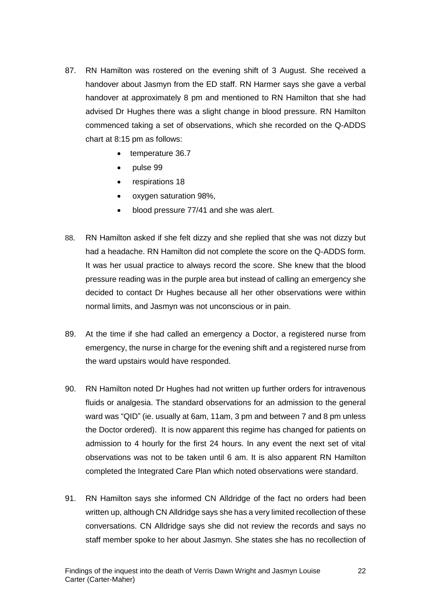- 87. RN Hamilton was rostered on the evening shift of 3 August. She received a handover about Jasmyn from the ED staff. RN Harmer says she gave a verbal handover at approximately 8 pm and mentioned to RN Hamilton that she had advised Dr Hughes there was a slight change in blood pressure. RN Hamilton commenced taking a set of observations, which she recorded on the Q-ADDS chart at 8:15 pm as follows:
	- temperature 36.7
	- pulse 99
	- respirations 18
	- oxygen saturation 98%,
	- blood pressure 77/41 and she was alert.
- 88. RN Hamilton asked if she felt dizzy and she replied that she was not dizzy but had a headache. RN Hamilton did not complete the score on the Q-ADDS form. It was her usual practice to always record the score. She knew that the blood pressure reading was in the purple area but instead of calling an emergency she decided to contact Dr Hughes because all her other observations were within normal limits, and Jasmyn was not unconscious or in pain.
- 89. At the time if she had called an emergency a Doctor, a registered nurse from emergency, the nurse in charge for the evening shift and a registered nurse from the ward upstairs would have responded.
- 90. RN Hamilton noted Dr Hughes had not written up further orders for intravenous fluids or analgesia. The standard observations for an admission to the general ward was "QID" (ie. usually at 6am, 11am, 3 pm and between 7 and 8 pm unless the Doctor ordered). It is now apparent this regime has changed for patients on admission to 4 hourly for the first 24 hours. In any event the next set of vital observations was not to be taken until 6 am. It is also apparent RN Hamilton completed the Integrated Care Plan which noted observations were standard.
- 91. RN Hamilton says she informed CN Alldridge of the fact no orders had been written up, although CN Alldridge says she has a very limited recollection of these conversations. CN Alldridge says she did not review the records and says no staff member spoke to her about Jasmyn. She states she has no recollection of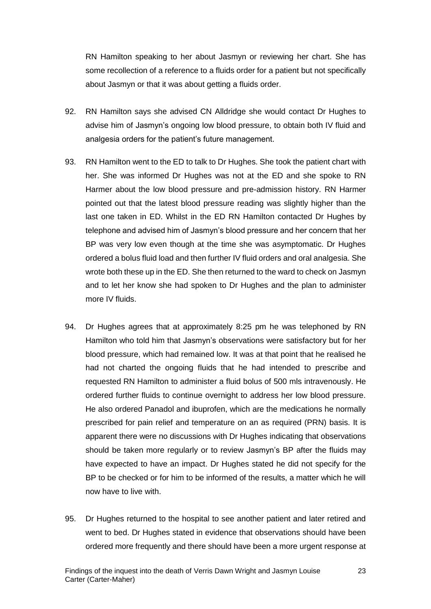RN Hamilton speaking to her about Jasmyn or reviewing her chart. She has some recollection of a reference to a fluids order for a patient but not specifically about Jasmyn or that it was about getting a fluids order.

- 92. RN Hamilton says she advised CN Alldridge she would contact Dr Hughes to advise him of Jasmyn's ongoing low blood pressure, to obtain both IV fluid and analgesia orders for the patient's future management.
- 93. RN Hamilton went to the ED to talk to Dr Hughes. She took the patient chart with her. She was informed Dr Hughes was not at the ED and she spoke to RN Harmer about the low blood pressure and pre-admission history. RN Harmer pointed out that the latest blood pressure reading was slightly higher than the last one taken in ED. Whilst in the ED RN Hamilton contacted Dr Hughes by telephone and advised him of Jasmyn's blood pressure and her concern that her BP was very low even though at the time she was asymptomatic. Dr Hughes ordered a bolus fluid load and then further IV fluid orders and oral analgesia. She wrote both these up in the ED. She then returned to the ward to check on Jasmyn and to let her know she had spoken to Dr Hughes and the plan to administer more IV fluids.
- 94. Dr Hughes agrees that at approximately 8:25 pm he was telephoned by RN Hamilton who told him that Jasmyn's observations were satisfactory but for her blood pressure, which had remained low. It was at that point that he realised he had not charted the ongoing fluids that he had intended to prescribe and requested RN Hamilton to administer a fluid bolus of 500 mls intravenously. He ordered further fluids to continue overnight to address her low blood pressure. He also ordered Panadol and ibuprofen, which are the medications he normally prescribed for pain relief and temperature on an as required (PRN) basis. It is apparent there were no discussions with Dr Hughes indicating that observations should be taken more regularly or to review Jasmyn's BP after the fluids may have expected to have an impact. Dr Hughes stated he did not specify for the BP to be checked or for him to be informed of the results, a matter which he will now have to live with.
- 95. Dr Hughes returned to the hospital to see another patient and later retired and went to bed. Dr Hughes stated in evidence that observations should have been ordered more frequently and there should have been a more urgent response at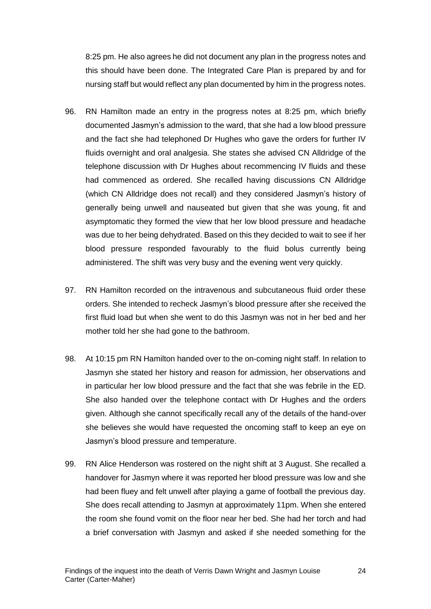8:25 pm. He also agrees he did not document any plan in the progress notes and this should have been done. The Integrated Care Plan is prepared by and for nursing staff but would reflect any plan documented by him in the progress notes.

- 96. RN Hamilton made an entry in the progress notes at 8:25 pm, which briefly documented Jasmyn's admission to the ward, that she had a low blood pressure and the fact she had telephoned Dr Hughes who gave the orders for further IV fluids overnight and oral analgesia. She states she advised CN Alldridge of the telephone discussion with Dr Hughes about recommencing IV fluids and these had commenced as ordered. She recalled having discussions CN Alldridge (which CN Alldridge does not recall) and they considered Jasmyn's history of generally being unwell and nauseated but given that she was young, fit and asymptomatic they formed the view that her low blood pressure and headache was due to her being dehydrated. Based on this they decided to wait to see if her blood pressure responded favourably to the fluid bolus currently being administered. The shift was very busy and the evening went very quickly.
- 97. RN Hamilton recorded on the intravenous and subcutaneous fluid order these orders. She intended to recheck Jasmyn's blood pressure after she received the first fluid load but when she went to do this Jasmyn was not in her bed and her mother told her she had gone to the bathroom.
- 98. At 10:15 pm RN Hamilton handed over to the on-coming night staff. In relation to Jasmyn she stated her history and reason for admission, her observations and in particular her low blood pressure and the fact that she was febrile in the ED. She also handed over the telephone contact with Dr Hughes and the orders given. Although she cannot specifically recall any of the details of the hand-over she believes she would have requested the oncoming staff to keep an eye on Jasmyn's blood pressure and temperature.
- 99. RN Alice Henderson was rostered on the night shift at 3 August. She recalled a handover for Jasmyn where it was reported her blood pressure was low and she had been fluey and felt unwell after playing a game of football the previous day. She does recall attending to Jasmyn at approximately 11pm. When she entered the room she found vomit on the floor near her bed. She had her torch and had a brief conversation with Jasmyn and asked if she needed something for the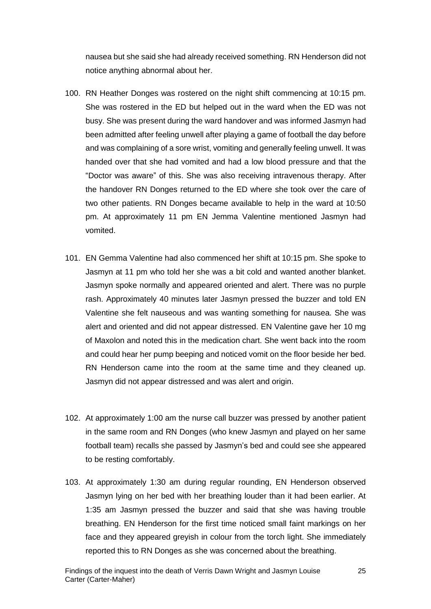nausea but she said she had already received something. RN Henderson did not notice anything abnormal about her.

- 100. RN Heather Donges was rostered on the night shift commencing at 10:15 pm. She was rostered in the ED but helped out in the ward when the ED was not busy. She was present during the ward handover and was informed Jasmyn had been admitted after feeling unwell after playing a game of football the day before and was complaining of a sore wrist, vomiting and generally feeling unwell. It was handed over that she had vomited and had a low blood pressure and that the "Doctor was aware" of this. She was also receiving intravenous therapy. After the handover RN Donges returned to the ED where she took over the care of two other patients. RN Donges became available to help in the ward at 10:50 pm. At approximately 11 pm EN Jemma Valentine mentioned Jasmyn had vomited.
- 101. EN Gemma Valentine had also commenced her shift at 10:15 pm. She spoke to Jasmyn at 11 pm who told her she was a bit cold and wanted another blanket. Jasmyn spoke normally and appeared oriented and alert. There was no purple rash. Approximately 40 minutes later Jasmyn pressed the buzzer and told EN Valentine she felt nauseous and was wanting something for nausea. She was alert and oriented and did not appear distressed. EN Valentine gave her 10 mg of Maxolon and noted this in the medication chart. She went back into the room and could hear her pump beeping and noticed vomit on the floor beside her bed. RN Henderson came into the room at the same time and they cleaned up. Jasmyn did not appear distressed and was alert and origin.
- 102. At approximately 1:00 am the nurse call buzzer was pressed by another patient in the same room and RN Donges (who knew Jasmyn and played on her same football team) recalls she passed by Jasmyn's bed and could see she appeared to be resting comfortably.
- 103. At approximately 1:30 am during regular rounding, EN Henderson observed Jasmyn lying on her bed with her breathing louder than it had been earlier. At 1:35 am Jasmyn pressed the buzzer and said that she was having trouble breathing. EN Henderson for the first time noticed small faint markings on her face and they appeared greyish in colour from the torch light. She immediately reported this to RN Donges as she was concerned about the breathing.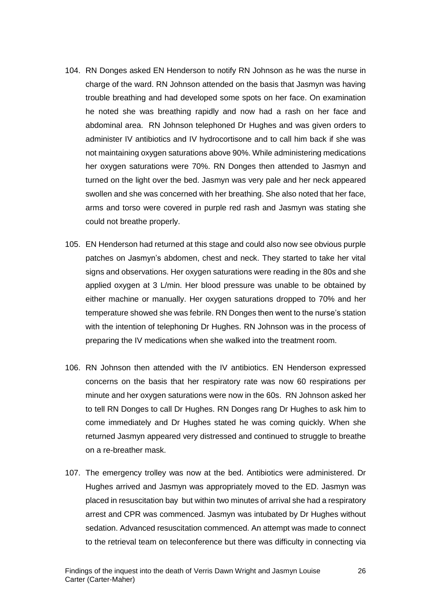- 104. RN Donges asked EN Henderson to notify RN Johnson as he was the nurse in charge of the ward. RN Johnson attended on the basis that Jasmyn was having trouble breathing and had developed some spots on her face. On examination he noted she was breathing rapidly and now had a rash on her face and abdominal area. RN Johnson telephoned Dr Hughes and was given orders to administer IV antibiotics and IV hydrocortisone and to call him back if she was not maintaining oxygen saturations above 90%. While administering medications her oxygen saturations were 70%. RN Donges then attended to Jasmyn and turned on the light over the bed. Jasmyn was very pale and her neck appeared swollen and she was concerned with her breathing. She also noted that her face, arms and torso were covered in purple red rash and Jasmyn was stating she could not breathe properly.
- 105. EN Henderson had returned at this stage and could also now see obvious purple patches on Jasmyn's abdomen, chest and neck. They started to take her vital signs and observations. Her oxygen saturations were reading in the 80s and she applied oxygen at 3 L/min. Her blood pressure was unable to be obtained by either machine or manually. Her oxygen saturations dropped to 70% and her temperature showed she was febrile. RN Donges then went to the nurse's station with the intention of telephoning Dr Hughes. RN Johnson was in the process of preparing the IV medications when she walked into the treatment room.
- 106. RN Johnson then attended with the IV antibiotics. EN Henderson expressed concerns on the basis that her respiratory rate was now 60 respirations per minute and her oxygen saturations were now in the 60s. RN Johnson asked her to tell RN Donges to call Dr Hughes. RN Donges rang Dr Hughes to ask him to come immediately and Dr Hughes stated he was coming quickly. When she returned Jasmyn appeared very distressed and continued to struggle to breathe on a re-breather mask.
- 107. The emergency trolley was now at the bed. Antibiotics were administered. Dr Hughes arrived and Jasmyn was appropriately moved to the ED. Jasmyn was placed in resuscitation bay but within two minutes of arrival she had a respiratory arrest and CPR was commenced. Jasmyn was intubated by Dr Hughes without sedation. Advanced resuscitation commenced. An attempt was made to connect to the retrieval team on teleconference but there was difficulty in connecting via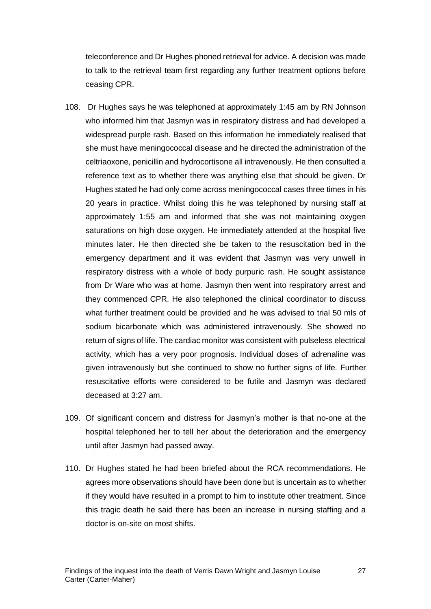teleconference and Dr Hughes phoned retrieval for advice. A decision was made to talk to the retrieval team first regarding any further treatment options before ceasing CPR.

- 108. Dr Hughes says he was telephoned at approximately 1:45 am by RN Johnson who informed him that Jasmyn was in respiratory distress and had developed a widespread purple rash. Based on this information he immediately realised that she must have meningococcal disease and he directed the administration of the celtriaoxone, penicillin and hydrocortisone all intravenously. He then consulted a reference text as to whether there was anything else that should be given. Dr Hughes stated he had only come across meningococcal cases three times in his 20 years in practice. Whilst doing this he was telephoned by nursing staff at approximately 1:55 am and informed that she was not maintaining oxygen saturations on high dose oxygen. He immediately attended at the hospital five minutes later. He then directed she be taken to the resuscitation bed in the emergency department and it was evident that Jasmyn was very unwell in respiratory distress with a whole of body purpuric rash. He sought assistance from Dr Ware who was at home. Jasmyn then went into respiratory arrest and they commenced CPR. He also telephoned the clinical coordinator to discuss what further treatment could be provided and he was advised to trial 50 mls of sodium bicarbonate which was administered intravenously. She showed no return of signs of life. The cardiac monitor was consistent with pulseless electrical activity, which has a very poor prognosis. Individual doses of adrenaline was given intravenously but she continued to show no further signs of life. Further resuscitative efforts were considered to be futile and Jasmyn was declared deceased at 3:27 am.
- 109. Of significant concern and distress for Jasmyn's mother is that no-one at the hospital telephoned her to tell her about the deterioration and the emergency until after Jasmyn had passed away.
- 110. Dr Hughes stated he had been briefed about the RCA recommendations. He agrees more observations should have been done but is uncertain as to whether if they would have resulted in a prompt to him to institute other treatment. Since this tragic death he said there has been an increase in nursing staffing and a doctor is on-site on most shifts.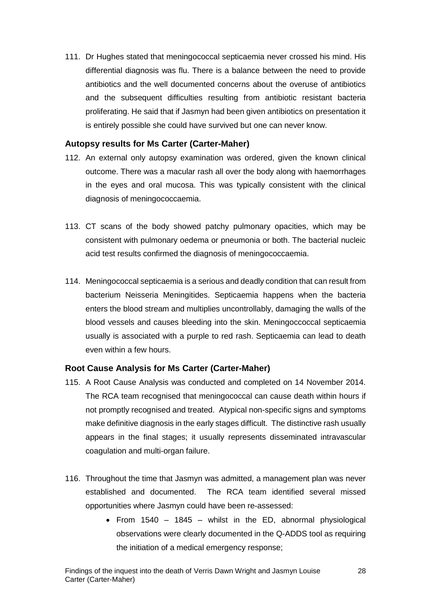111. Dr Hughes stated that meningococcal septicaemia never crossed his mind. His differential diagnosis was flu. There is a balance between the need to provide antibiotics and the well documented concerns about the overuse of antibiotics and the subsequent difficulties resulting from antibiotic resistant bacteria proliferating. He said that if Jasmyn had been given antibiotics on presentation it is entirely possible she could have survived but one can never know.

#### <span id="page-28-0"></span>**Autopsy results for Ms Carter (Carter-Maher)**

- 112. An external only autopsy examination was ordered, given the known clinical outcome. There was a macular rash all over the body along with haemorrhages in the eyes and oral mucosa. This was typically consistent with the clinical diagnosis of meningococcaemia.
- 113. CT scans of the body showed patchy pulmonary opacities, which may be consistent with pulmonary oedema or pneumonia or both. The bacterial nucleic acid test results confirmed the diagnosis of meningococcaemia.
- 114. Meningococcal septicaemia is a serious and deadly condition that can result from bacterium Neisseria Meningitides. Septicaemia happens when the bacteria enters the blood stream and multiplies uncontrollably, damaging the walls of the blood vessels and causes bleeding into the skin. Meningoccoccal septicaemia usually is associated with a purple to red rash. Septicaemia can lead to death even within a few hours.

## <span id="page-28-1"></span>**Root Cause Analysis for Ms Carter (Carter-Maher)**

- 115. A Root Cause Analysis was conducted and completed on 14 November 2014. The RCA team recognised that meningococcal can cause death within hours if not promptly recognised and treated. Atypical non-specific signs and symptoms make definitive diagnosis in the early stages difficult. The distinctive rash usually appears in the final stages; it usually represents disseminated intravascular coagulation and multi-organ failure.
- 116. Throughout the time that Jasmyn was admitted, a management plan was never established and documented. The RCA team identified several missed opportunities where Jasmyn could have been re-assessed:
	- From  $1540 1845$  whilst in the ED, abnormal physiological observations were clearly documented in the Q-ADDS tool as requiring the initiation of a medical emergency response;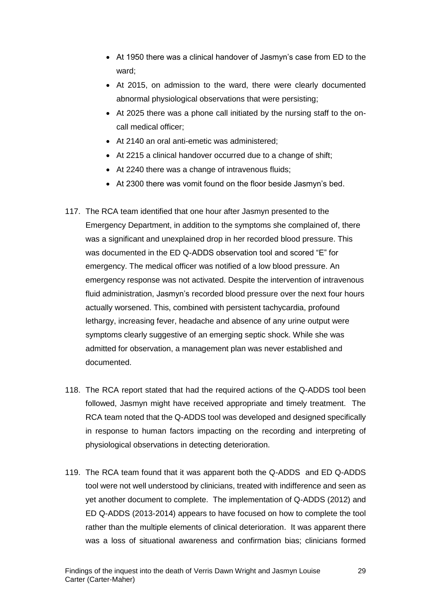- At 1950 there was a clinical handover of Jasmyn's case from ED to the ward;
- At 2015, on admission to the ward, there were clearly documented abnormal physiological observations that were persisting;
- At 2025 there was a phone call initiated by the nursing staff to the oncall medical officer;
- At 2140 an oral anti-emetic was administered;
- At 2215 a clinical handover occurred due to a change of shift;
- At 2240 there was a change of intravenous fluids;
- At 2300 there was vomit found on the floor beside Jasmyn's bed.
- 117. The RCA team identified that one hour after Jasmyn presented to the Emergency Department, in addition to the symptoms she complained of, there was a significant and unexplained drop in her recorded blood pressure. This was documented in the ED Q-ADDS observation tool and scored "E" for emergency. The medical officer was notified of a low blood pressure. An emergency response was not activated. Despite the intervention of intravenous fluid administration, Jasmyn's recorded blood pressure over the next four hours actually worsened. This, combined with persistent tachycardia, profound lethargy, increasing fever, headache and absence of any urine output were symptoms clearly suggestive of an emerging septic shock. While she was admitted for observation, a management plan was never established and documented.
- 118. The RCA report stated that had the required actions of the Q-ADDS tool been followed, Jasmyn might have received appropriate and timely treatment. The RCA team noted that the Q-ADDS tool was developed and designed specifically in response to human factors impacting on the recording and interpreting of physiological observations in detecting deterioration.
- 119. The RCA team found that it was apparent both the Q-ADDS and ED Q-ADDS tool were not well understood by clinicians, treated with indifference and seen as yet another document to complete. The implementation of Q-ADDS (2012) and ED Q-ADDS (2013-2014) appears to have focused on how to complete the tool rather than the multiple elements of clinical deterioration. It was apparent there was a loss of situational awareness and confirmation bias; clinicians formed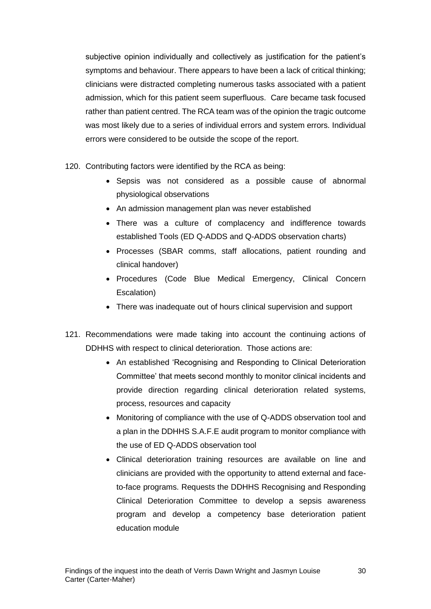subjective opinion individually and collectively as justification for the patient's symptoms and behaviour. There appears to have been a lack of critical thinking; clinicians were distracted completing numerous tasks associated with a patient admission, which for this patient seem superfluous. Care became task focused rather than patient centred. The RCA team was of the opinion the tragic outcome was most likely due to a series of individual errors and system errors. Individual errors were considered to be outside the scope of the report.

- 120. Contributing factors were identified by the RCA as being:
	- Sepsis was not considered as a possible cause of abnormal physiological observations
	- An admission management plan was never established
	- There was a culture of complacency and indifference towards established Tools (ED Q-ADDS and Q-ADDS observation charts)
	- Processes (SBAR comms, staff allocations, patient rounding and clinical handover)
	- Procedures (Code Blue Medical Emergency, Clinical Concern Escalation)
	- There was inadequate out of hours clinical supervision and support
- 121. Recommendations were made taking into account the continuing actions of DDHHS with respect to clinical deterioration. Those actions are:
	- An established 'Recognising and Responding to Clinical Deterioration Committee' that meets second monthly to monitor clinical incidents and provide direction regarding clinical deterioration related systems, process, resources and capacity
	- Monitoring of compliance with the use of Q-ADDS observation tool and a plan in the DDHHS S.A.F.E audit program to monitor compliance with the use of ED Q-ADDS observation tool
	- Clinical deterioration training resources are available on line and clinicians are provided with the opportunity to attend external and faceto-face programs. Requests the DDHHS Recognising and Responding Clinical Deterioration Committee to develop a sepsis awareness program and develop a competency base deterioration patient education module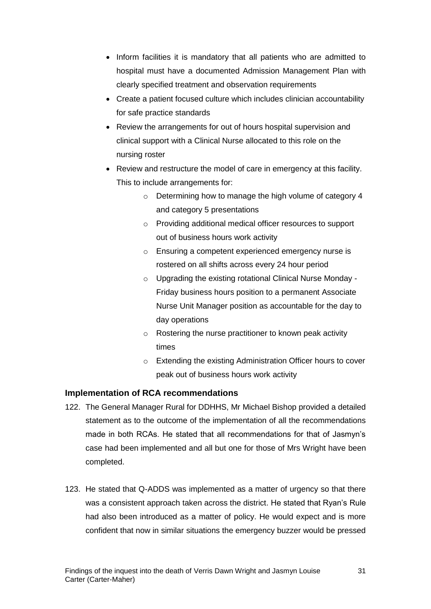- Inform facilities it is mandatory that all patients who are admitted to hospital must have a documented Admission Management Plan with clearly specified treatment and observation requirements
- Create a patient focused culture which includes clinician accountability for safe practice standards
- Review the arrangements for out of hours hospital supervision and clinical support with a Clinical Nurse allocated to this role on the nursing roster
- Review and restructure the model of care in emergency at this facility. This to include arrangements for:
	- o Determining how to manage the high volume of category 4 and category 5 presentations
	- o Providing additional medical officer resources to support out of business hours work activity
	- o Ensuring a competent experienced emergency nurse is rostered on all shifts across every 24 hour period
	- o Upgrading the existing rotational Clinical Nurse Monday Friday business hours position to a permanent Associate Nurse Unit Manager position as accountable for the day to day operations
	- o Rostering the nurse practitioner to known peak activity times
	- o Extending the existing Administration Officer hours to cover peak out of business hours work activity

## <span id="page-31-0"></span>**Implementation of RCA recommendations**

- 122. The General Manager Rural for DDHHS, Mr Michael Bishop provided a detailed statement as to the outcome of the implementation of all the recommendations made in both RCAs. He stated that all recommendations for that of Jasmyn's case had been implemented and all but one for those of Mrs Wright have been completed.
- 123. He stated that Q-ADDS was implemented as a matter of urgency so that there was a consistent approach taken across the district. He stated that Ryan's Rule had also been introduced as a matter of policy. He would expect and is more confident that now in similar situations the emergency buzzer would be pressed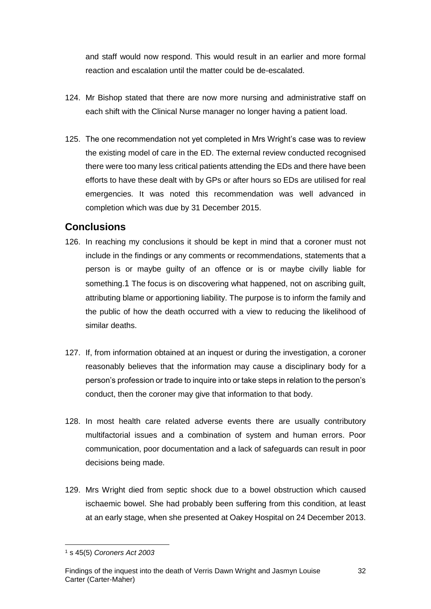and staff would now respond. This would result in an earlier and more formal reaction and escalation until the matter could be de-escalated.

- 124. Mr Bishop stated that there are now more nursing and administrative staff on each shift with the Clinical Nurse manager no longer having a patient load.
- 125. The one recommendation not yet completed in Mrs Wright's case was to review the existing model of care in the ED. The external review conducted recognised there were too many less critical patients attending the EDs and there have been efforts to have these dealt with by GPs or after hours so EDs are utilised for real emergencies. It was noted this recommendation was well advanced in completion which was due by 31 December 2015.

# <span id="page-32-0"></span>**Conclusions**

- 126. In reaching my conclusions it should be kept in mind that a coroner must not include in the findings or any comments or recommendations, statements that a person is or maybe guilty of an offence or is or maybe civilly liable for something.1 The focus is on discovering what happened, not on ascribing guilt, attributing blame or apportioning liability. The purpose is to inform the family and the public of how the death occurred with a view to reducing the likelihood of similar deaths.
- 127. If, from information obtained at an inquest or during the investigation, a coroner reasonably believes that the information may cause a disciplinary body for a person's profession or trade to inquire into or take steps in relation to the person's conduct, then the coroner may give that information to that body.
- 128. In most health care related adverse events there are usually contributory multifactorial issues and a combination of system and human errors. Poor communication, poor documentation and a lack of safeguards can result in poor decisions being made.
- 129. Mrs Wright died from septic shock due to a bowel obstruction which caused ischaemic bowel. She had probably been suffering from this condition, at least at an early stage, when she presented at Oakey Hospital on 24 December 2013.

l <sup>1</sup> s 45(5) *Coroners Act 2003*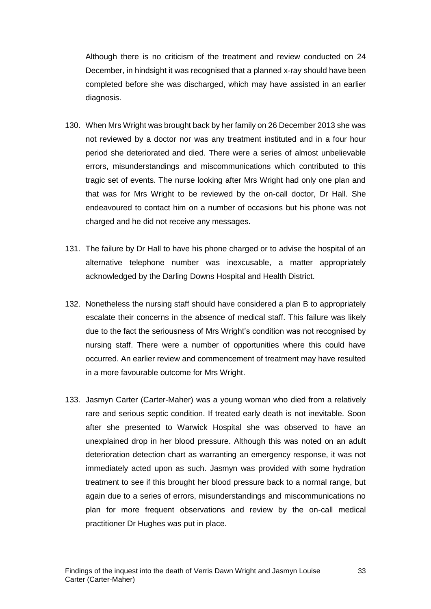Although there is no criticism of the treatment and review conducted on 24 December, in hindsight it was recognised that a planned x-ray should have been completed before she was discharged, which may have assisted in an earlier diagnosis.

- 130. When Mrs Wright was brought back by her family on 26 December 2013 she was not reviewed by a doctor nor was any treatment instituted and in a four hour period she deteriorated and died. There were a series of almost unbelievable errors, misunderstandings and miscommunications which contributed to this tragic set of events. The nurse looking after Mrs Wright had only one plan and that was for Mrs Wright to be reviewed by the on-call doctor, Dr Hall. She endeavoured to contact him on a number of occasions but his phone was not charged and he did not receive any messages.
- 131. The failure by Dr Hall to have his phone charged or to advise the hospital of an alternative telephone number was inexcusable, a matter appropriately acknowledged by the Darling Downs Hospital and Health District.
- 132. Nonetheless the nursing staff should have considered a plan B to appropriately escalate their concerns in the absence of medical staff. This failure was likely due to the fact the seriousness of Mrs Wright's condition was not recognised by nursing staff. There were a number of opportunities where this could have occurred. An earlier review and commencement of treatment may have resulted in a more favourable outcome for Mrs Wright.
- 133. Jasmyn Carter (Carter-Maher) was a young woman who died from a relatively rare and serious septic condition. If treated early death is not inevitable. Soon after she presented to Warwick Hospital she was observed to have an unexplained drop in her blood pressure. Although this was noted on an adult deterioration detection chart as warranting an emergency response, it was not immediately acted upon as such. Jasmyn was provided with some hydration treatment to see if this brought her blood pressure back to a normal range, but again due to a series of errors, misunderstandings and miscommunications no plan for more frequent observations and review by the on-call medical practitioner Dr Hughes was put in place.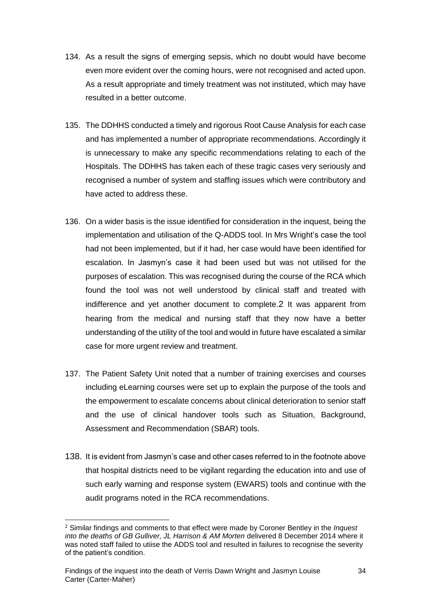- 134. As a result the signs of emerging sepsis, which no doubt would have become even more evident over the coming hours, were not recognised and acted upon. As a result appropriate and timely treatment was not instituted, which may have resulted in a better outcome.
- 135. The DDHHS conducted a timely and rigorous Root Cause Analysis for each case and has implemented a number of appropriate recommendations. Accordingly it is unnecessary to make any specific recommendations relating to each of the Hospitals. The DDHHS has taken each of these tragic cases very seriously and recognised a number of system and staffing issues which were contributory and have acted to address these.
- 136. On a wider basis is the issue identified for consideration in the inquest, being the implementation and utilisation of the Q-ADDS tool. In Mrs Wright's case the tool had not been implemented, but if it had, her case would have been identified for escalation. In Jasmyn's case it had been used but was not utilised for the purposes of escalation. This was recognised during the course of the RCA which found the tool was not well understood by clinical staff and treated with indifference and yet another document to complete.2 It was apparent from hearing from the medical and nursing staff that they now have a better understanding of the utility of the tool and would in future have escalated a similar case for more urgent review and treatment.
- 137. The Patient Safety Unit noted that a number of training exercises and courses including eLearning courses were set up to explain the purpose of the tools and the empowerment to escalate concerns about clinical deterioration to senior staff and the use of clinical handover tools such as Situation, Background, Assessment and Recommendation (SBAR) tools.
- 138. It is evident from Jasmyn's case and other cases referred to in the footnote above that hospital districts need to be vigilant regarding the education into and use of such early warning and response system (EWARS) tools and continue with the audit programs noted in the RCA recommendations.

l <sup>2</sup> Similar findings and comments to that effect were made by Coroner Bentley in the *Inquest into the deaths of GB Gulliver, JL Harrison & AM Morten* delivered 8 December 2014 where it was noted staff failed to utiise the ADDS tool and resulted in failures to recognise the severity of the patient's condition.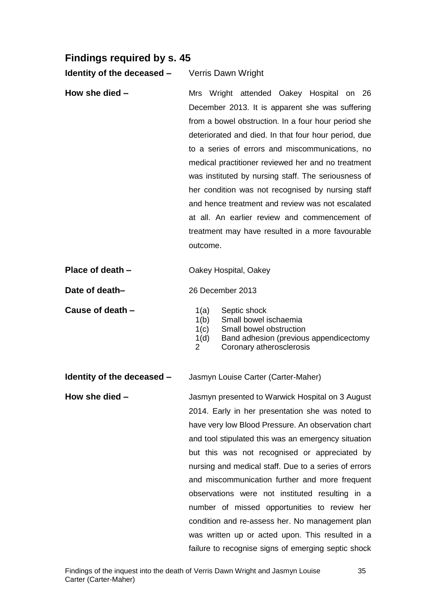# <span id="page-35-0"></span>**Findings required by s. 45**

**Identity of the deceased –** Verris Dawn Wright

**How she died – The Mrs** Wright attended Oakey Hospital on 26 December 2013. It is apparent she was suffering from a bowel obstruction. In a four hour period she deteriorated and died. In that four hour period, due to a series of errors and miscommunications, no medical practitioner reviewed her and no treatment was instituted by nursing staff. The seriousness of her condition was not recognised by nursing staff and hence treatment and review was not escalated at all. An earlier review and commencement of treatment may have resulted in a more favourable outcome.

| Place of death - | Oakey Hospital, Oakey |
|------------------|-----------------------|
|------------------|-----------------------|

**Date of death–** 26 December 2013

**Cause of death –** 1(a) Septic shock

1(b) Small bowel ischaemia

- 1(c) Small bowel obstruction
- 1(d) Band adhesion (previous appendicectomy
- 2 Coronary atherosclerosis

**Identity of the deceased –** Jasmyn Louise Carter (Carter-Maher)

**How she died –** Jasmyn presented to Warwick Hospital on 3 August 2014. Early in her presentation she was noted to have very low Blood Pressure. An observation chart and tool stipulated this was an emergency situation but this was not recognised or appreciated by nursing and medical staff. Due to a series of errors and miscommunication further and more frequent observations were not instituted resulting in a number of missed opportunities to review her condition and re-assess her. No management plan was written up or acted upon. This resulted in a failure to recognise signs of emerging septic shock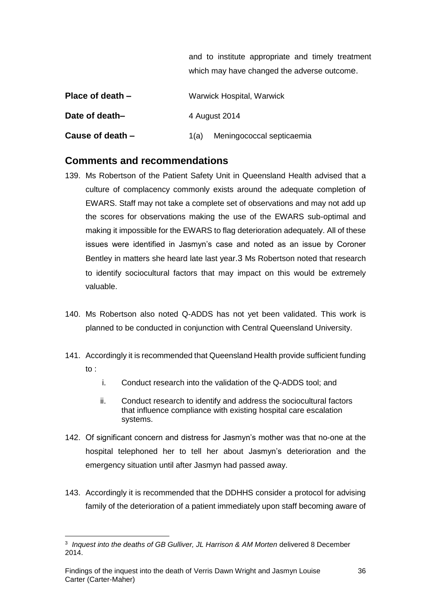|                    | and to institute appropriate and timely treatment |
|--------------------|---------------------------------------------------|
|                    | which may have changed the adverse outcome.       |
| Place of death $-$ | <b>Warwick Hospital, Warwick</b>                  |
| Date of death-     | 4 August 2014                                     |
| Cause of death $-$ | Meningococcal septicaemia<br>1(a)                 |

## <span id="page-36-0"></span>**Comments and recommendations**

- 139. Ms Robertson of the Patient Safety Unit in Queensland Health advised that a culture of complacency commonly exists around the adequate completion of EWARS. Staff may not take a complete set of observations and may not add up the scores for observations making the use of the EWARS sub-optimal and making it impossible for the EWARS to flag deterioration adequately. All of these issues were identified in Jasmyn's case and noted as an issue by Coroner Bentley in matters she heard late last year.3 Ms Robertson noted that research to identify sociocultural factors that may impact on this would be extremely valuable.
- 140. Ms Robertson also noted Q-ADDS has not yet been validated. This work is planned to be conducted in conjunction with Central Queensland University.
- 141. Accordingly it is recommended that Queensland Health provide sufficient funding to :
	- i. Conduct research into the validation of the Q-ADDS tool; and
	- ii. Conduct research to identify and address the sociocultural factors that influence compliance with existing hospital care escalation systems.
- 142. Of significant concern and distress for Jasmyn's mother was that no-one at the hospital telephoned her to tell her about Jasmyn's deterioration and the emergency situation until after Jasmyn had passed away.
- 143. Accordingly it is recommended that the DDHHS consider a protocol for advising family of the deterioration of a patient immediately upon staff becoming aware of

l

<sup>&</sup>lt;sup>3</sup> Inquest into the deaths of GB Gulliver, JL Harrison & AM Morten delivered 8 December 2014.